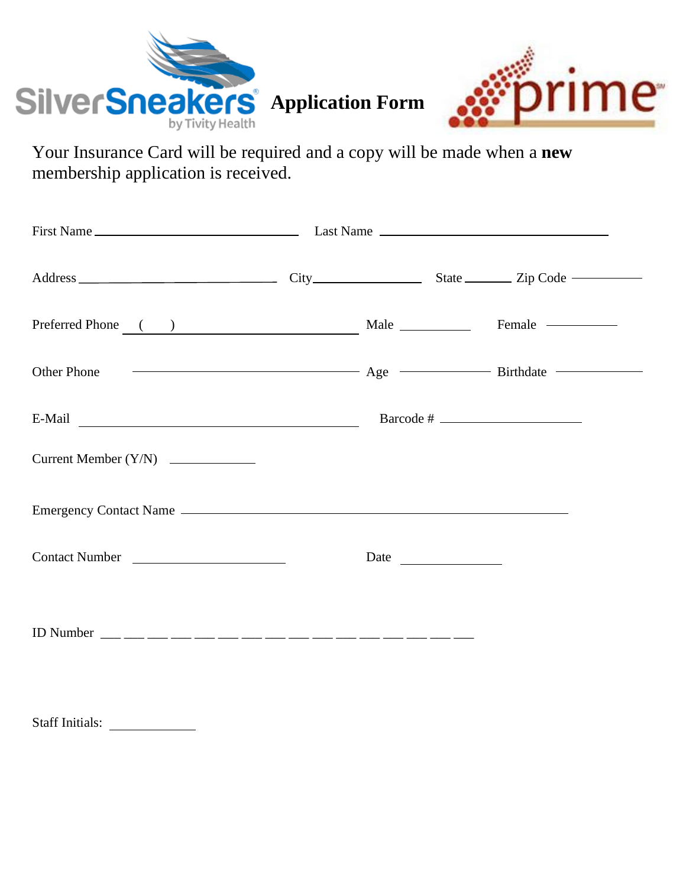

Your Insurance Card will be required and a copy will be made when a **new** membership application is received.

| E-Mail Contact Contact Contact Contact Contact Contact Contact Contact Contact Contact Contact Contact Contact Contact Contact Contact Contact Contact Contact Contact Contact Contact Contact Contact Contact Contact Contact | Barcode # |  |
|--------------------------------------------------------------------------------------------------------------------------------------------------------------------------------------------------------------------------------|-----------|--|
|                                                                                                                                                                                                                                |           |  |
|                                                                                                                                                                                                                                |           |  |
| Contact Number                                                                                                                                                                                                                 |           |  |
|                                                                                                                                                                                                                                |           |  |
|                                                                                                                                                                                                                                |           |  |
|                                                                                                                                                                                                                                |           |  |

Staff Initials: